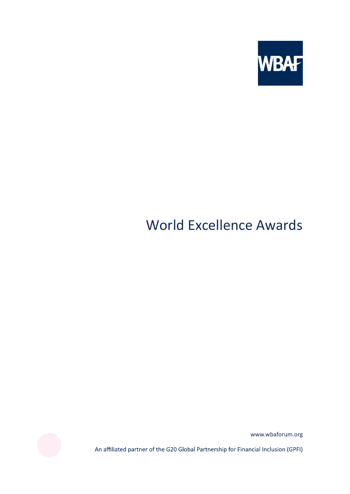

# World Excellence Awards



www.wbaforum.org

An affiliated partner of the G20 Global Partnership for Financial Inclusion (GPFI)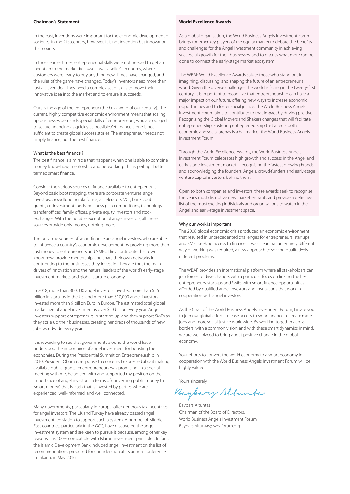# **Chairman's Statement**

In the past, inventions were important for the economic development of societies. In the 21stcentury, however, it is not invention but innovation that counts.

In those earlier times, entrepreneurial skills were not needed to get an invention to the market because it was a seller's economy, where customers were ready to buy anything new. Times have changed, and the rules of the game have changed. Today's inventors need more than just a clever idea. They need a complex set of skills to move their innovative idea into the market and to ensure it succeeds.

Ours is the age of the entrepreneur (the buzz word of our century). The current, highly competitive economic environment means that scaling up businesses demands special skills of entrepreneurs, who are obliged to secure financing as quickly as possible.Yet finance alone is not sufficient to create global success stories. The entrepreneur needs not simply finance, but the best finance.

#### What is 'the best finance'?

The best finance is a miracle that happens when one is able to combine money, know-how, mentorship and networking. This is perhaps better termed smart finance.

Consider the various sources of finance available to entrepreneurs: Beyond basic bootstrapping, there are corporate ventures, angel investors, crowdfunding platforms, accelerators, VCs, banks, public grants, co-investment funds, business plan competitions, technology transfer offices, family offices, private equity investors and stock exchanges. With the notable exception of angel investors, all these sources provide only money, nothing more.

The only true sources of smart finance are angel investors, who are able to influence a country's economic development by providing more than just money to entrepreneurs and SMEs. They contribute their own know-how, provide mentorship, and share their own networks in contributing to the businesses they invest in. They are thus the main drivers of innovation and the natural leaders of the world's early-stage investment markets and global startup economy.

In 2018, more than 300,000 angel investors invested more than \$26 billion in startups in the US, and more than 310,000 angel investors invested more than 9 billion Euro in Europe. The estimated total global market size of angel investment is over \$50 billion every year. Angel investors support entrepreneurs in starting up, and they support SMEs as they scale up their businesses, creating hundreds of thousands of new jobs worldwide every year.

It is rewarding to see that governments around the world have understood the importance of angel investment for boosting their economies. During the Presidential Summit on Entrepreneurship in 2010, President Obama's response to concerns I expressed about making available public grants for entrepreneurs was promising. In a special meeting with me, he agreed with and supported my position on the importance of angel investors in terms of converting public money to 'smart money', that is, cash that is invested by parties who are experienced, well-informed, and well connected.

Many governments, particularly in Europe, offer generous tax incentives for angel investors. The UK and Turkey have already passed angel investment legislation to support such a system. A number of Middle East countries, particularly in the GCC, have discovered the angel investment system and are keen to pursue it because, among other key reasons, it is 100% compatible with Islamic investment principles. In fact, the Islamic Development Bank included angel investment on the list of recommendations proposed for consideration at its annual conference in Jakarta, in May 2016.

# **World Excellence Awards**

As a global organisation, the World Business Angels Investment Forum brings together key players of the equity market to debate the benefits and challenges for the Angel Investment community in achieving successful growth for their businesses, and to discuss what more can be done to connect the early-stage market ecosystem.

The WBAF World Excellence Awards salute those who stand out in imagining, discussing, and shaping the future of an entrepreneurial world. Given the diverse challenges the world is facing in the twenty-first century, it is important to recognize that entrepreneurship can have a major impact on our future, offering new ways to increase economic opportunities and to foster social justice. The World Business Angels Investment Forum aims to contribute to that impact by driving positive Recognizing the Global Movers and Shakers changes that will facilitate entrepreneurship. Fostering entrepreneurship that affects both economic and social arenas is a hallmark of the World Business Angels Investment Forum.

Through the World Excellence Awards, the World Business Angels Investment Forum celebrates high growth and success in the Angel and early-stage investment market – recognising the fastest growing brands and acknowledging the founders, Angels, crowd-funders and early-stage venture capital investors behind them.

Open to both companies and investors, these awards seek to recognise the year's most disruptive new market entrants and provide a definitive list of the most exciting individuals and organisations to watch in the Angel and early-stage investment space.

#### Why our work is important

The 2008 global economic crisis produced an economic environment that resulted in unprecedented challenges for entrepreneurs, startups and SMEs seeking access to finance. It was clear that an entirely different way of working was required, a new approach to solving qualitatively different problems.

The WBAF provides an international platform where all stakeholders can join forces to drive change, with a particular focus on linking the best entrepreneurs, startups and SMEs with smart finance opportunities afforded by qualified angel investors and institutions that work in cooperation with angel investors.

As the Chair of the World Business Angels Investment Forum, I invite you to join our global efforts to ease access to smart finance to create more jobs and more social justice worldwide. By working together across borders, with a common vision, and with these smart dynamics in mind, we are well placed to bring about positive change in the global economy.

Your efforts to convert the world economy to a smart economy in cooperation with the World Business Angels Investment Forum will be highly valued.

Yours sincerely

Baybary Slounda

Baybars Altuntas Chairman of the Board of Directors, World Business Angels Investment Forum Baybars.Altuntas@wbaforum.org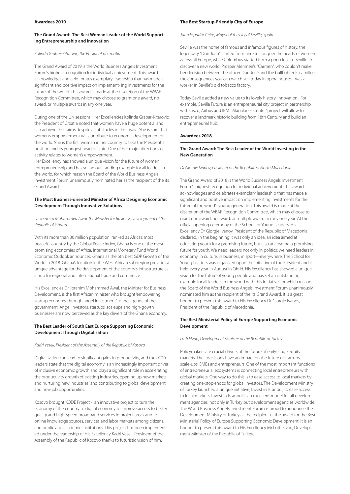# **The Grand Award: The Best Woman Leader of the World Supporting Entrepreneurship and Innovation**

#### Kolinda Grabar-Kitarovic, the President of Croatia

The Grand Award of 2019 is the World Business Angels Investment Forum's highest recognition for individual achievement. This award acknowledges and cele- brates exemplary leadership that has made a significant and positive impact on implement- ing investments for the future of the world. This award is made at the discretion of the WBAF Recognition Committee, which may choose to grant one award, no award, or multiple awards in any one year.

During one of the UN sessions, Her Excellencies Kolinda Grabar-Kitarovic, the President of Croatia noted that women have a huge potential and can achieve their aims despite all obstacles in their way. She is sure that women's empowerment will contribute to economic development of the world. She is the first woman in her country to take the Presidential position and its youngest head of state. One of her major directions of activity relates to women's empowerment.

Her Excellency has showed a unique vision for the future of women entrepreneurship and has set an outstanding example for all leaders in the world, for which reason the Board of the World Business Angels Investment Forum unanimously nominated her as the recipient of the its Grand Award.

# **The Most Business-oriented Minister of Africa Designing Economic Development Through Innovative Solutions**

# Dr. Ibrahim Mohammed Awal, the Minister for Business Development of the Republic of Ghana

With its more than 30 million population, ranked as Africa's most peaceful country by the Global Peace Index, Ghana is one of the most promising economies of Africa. International Monetary Fund World Economic Outlook announced Ghana as the 6th best GDP Growth of the World in 2018. Ghana's location in the West African sub-region provides a unique advantage for the development of the country's infrastructure as a hub for regional and international trade and commerce.

His Excellencies Dr. Ibrahim Mohammed Awal, the Minister for Business Development, is the first African minister who brought 'empowering startup economy through angel investment' to the agenda of the government. Angel investors, startups, scaleups and high-gowth businesses are now perceived as the key drivers of the Ghana economy.

# **The Best Leader of South East Europe Supporting Economic Development Through Digitalisation**

#### Kadri Veseli, President of the Assembly of the Republic of Kosovo

Digitalization can lead to significant gains in productivity, and thus G20 leaders state that the digital economy is an increasingly important driver of inclusive economic growth and plays a significant role in accelerating the productivity growth of existing industries, opening up new markets and nurturing new industries, and contributing to global development and new job opportunities.

Kosovo brought KODE Project - an innovative project to turn the economy of the country to digital economy to improve access to better quality and high‐speed broadband services in project areas and to online knowledge sources, services and labor markets among citizens, and public and academic institutions. This project has been implemented under the leadership of His Excellency Kadri Veseli, President of the Assembly of the Republic of Kosovo thanks to futuristic vision of him.

#### **The Best Startup-Friendly City of Europe**

# Juan Espadas Cejas, Mayor of the city of Seville, Spain

Seville was the home of famous and infamous figures of history, the legendary "Don Juan" started from here to conquer the hearts of women across all Europe, while Columbus started from a port close to Seville to discover a new world. Prosper Merimée's "Carmen", who couldn't make her decision between the officer Don José and the bullfighter Escamillo the consequences you can watch still today in opera houses - was a worker in Seville's old tobacco factory.

Today Seville added a new value to its lovely history. Innovation! For example, 'Sevilla Futura' is an entrepreneurial city project in partnership with Cisco, Airbus and IBM. 'Magalanes Center' project will allow to recover a landmark historic building from 18th Century and build an entrepreneurial hub.

# **Awardees 2018**

# **The Grand Award: The Best Leader of the World Investing in the New Generation**

Dr Gjorgje Ivanov, President of the Republic of North Macedonia

The Grand Award of 2018 is the World Business Angels Investment Forum's highest recognition for individual achievement. This award acknowledges and celebrates exemplary leadership that has made a significant and positive impact on implementing investments for the future of the world's young generation. This award is made at the discretion of the WBAF Recognition Committee, which may choose to grant one award, no award, or multiple awards in any one year. At the official opening ceremony of the School for Young Leaders, His Excellency Dr Gjorgje Ivanov, President of the Republic of Macedonia, declared, 'In the beginning it was only an idea, an idea aimed at educating youth for a promising future, but also at creating a promising future for youth. We need leaders not only in politics; we need leaders in economy, in culture, in business, in sport—everywhere'. The School for Young Leaders was organized upon the initiative of the President and is held every year in August in Ohrid. His Excellency has showed a unique vision for the future of young people and has set an outstanding example for all leaders in the world with this initiative, for which reason the Board of the World Business Angels Investment Forum unanimously nominated him as the recipient of the its Grand Award. It is a great honour to present this award to His Excellency Dr Gjorgje Ivanov, President of the Republic of Macedonia.

# **The Best Ministerial Policy of Europe Supporting Economic Development**

#### Lutfi Elvan, Development Minister of the Republic of Turkey

Policymakers are crucial drivers of the future of early-stage equity markets. Their decisions have an impact on the future of startups scale-ups, SMEs and entrepreneurs. One of the most important functions of entrepreneurial ecosystems is connecting local entrepreneurs with global markets. One way to do this is to ease access to local markets by creating one-stop-shops for global investors. The Development Ministry of Turkey launched a unique initiative, Invest in Istanbul, to ease access to local markets. Invest in Istanbul is an excellent model for all development agencies, not only in Turkey but development agencies worldwide. The World Business Angels Investment Forum is proud to announce the Development Ministry of Turkey as the recipient of the award for the Best Ministerial Policy of Europe Supporting Economic Development. It is an honour to present this award to His Excellency Mr Lutfi Elvan, Development Minister of the Republic of Turkey.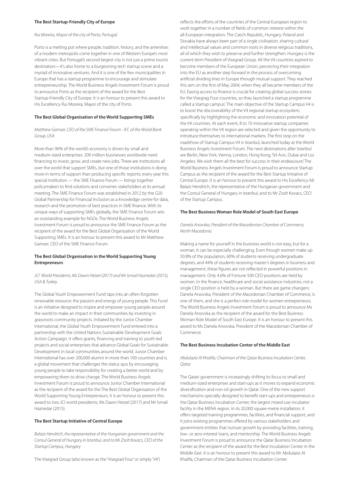#### **The Best Startup-Friendly City of Europe**

# Rui Moreira, Mayor of the city of Porto, Portugal

Porto is a melting pot where people, tradition, history, and the amenities of a modern metropolis come together in one of Western Europe's most vibrant cities. But Portugal's second-largest city is not just a prime tourist destination—it's also home to a burgeoning tech startup scene and a myriad of innovative ventures. And it is one of the few municipalities in Europe that has a startup programme to encourage and stimulate entrepreneurship. The World Business Angels Investment Forum is proud to announce Porto as the recipient of the award for the Best Startup-Friendly City of Europe. It is an honour to present this award to His Excellency Rui Moreira, Mayor of the city of Porto.

#### **The Best Global Organisation of the World Supporting SMEs**

#### Matthew Gamser, CEO of the SME Finance Forum - IFC of the World Bank Group, USA

More than 96% of the world's economy is driven by small and medium-sized enterprises. 200 million businesses worldwide need financing to invest, grow, and create new jobs. There are institutions all over the world that support SMEs, but one of those institutions is doing more in terms of support than producing specific reports; every year this special institution — the SME Finance Forum — brings together policymakers to find solutions and convenes stakeholders at its annual meeting. The SME Finance Forum was established in 2012 by the G20 Global Partnership for Financial Inclusion as a knowledge centre for data, research and the promotion of best practices in SME finance. With its unique ways of supporting SMEs globally, the SME Finance Forum sets an outstanding example for NGOs. The World Business Angels Investment Forum is proud to announce the SME Finance Forum as the recipient of the award for the Best Global Organization of the World Supporting SMEs. It is an honour to present this award to Mr Matthew Gamser, CEO of the SME Finance Forum.

# **The Best Global Organisation in the World Supporting Young Entrepreneurs**

# JCI World Presidents, Ms Dawn Hetzel (2017) and Mr Ismail Haznedar (2015), USA & Turkey

The Global Youth Empowerment Fund taps into an often-forgotten renewable resource: the passion and energy of young people. This Fund is an initiative designed to inspire and empower young people around the world to make an impact in their communities by investing in grassroots community projects. Initiated by the Junior Chamber International, the Global Youth Empowerment Fund entered into a partnership with the United Nations Sustainable Development Goals Action Campaign. It offers grants, financing and training to youth-led projects and social enterprises that advance Global Goals for Sustainable Development in local communities around the world. Junior Chamber International has over 200,000 alumni in more than 100 countries and is a global movement that challenges the status quo by encouraging young people to take responsibility for creating a better world and by empowering them to drive change. The World Business Angels Investment Forum is proud to announce Junior Chamber International as the recipient of the award for the The Best Global Organisation of the World Supporting Young Entrepreneurs. It is an honour to present this award to two JCI world presidents, Ms Dawn Hetzel (2017) and Mr Ismail Haznedar (2015).

#### **The Best Startup Initiative of Central Europe**

Balazs Hendrich, the representative of the Hungarian government and the Consul General of Hungary in Istanbul, and to Mr Zsolt Kovacs, CEO of the Startup Campus, Hungary

The Visegrad Group (also known as the 'Visegrad Four' or simply 'V4')

reflects the efforts of the countries of the Central European region to work together in a number of fields of common interest within the all-European integration. The Czech Republic, Hungary, Poland and Slovakia have always been part of a single civilisation, sharing cultural and intellectual values and common roots in diverse religious traditions, all of which they wish to preserve and further strengthen. Hungary is the current term President of Visegrad Group. All the V4 countries aspired to become members of the European Union, perceiving their integration into the EU as another step forward in the process of overcoming artificial dividing lines in Europe through mutual support. They reached this aim on the first of May 2004, when they all became members of the EU. Easing access to finance is crucial for creating global success stories for the Visegrag Four countries, so they launched a startup programme called a 'startup campus'. The main objective of the Startup Campus V4 is to boost the discoverability of the V4 regional startup ecosystem, specifically by highlighting the economic and innovation potential of the V4 countries. At each event, 8 to 10 innovative startup companies operating within the V4 region are selected and given the opportunity to introduce themselves to international markets. The first stop on the roadshow of Startup Campus V4 is Istanbul, launched today at the World Business Angels Investment Forum. The next destinations after Istanbul are Berlin, New York, Vienna, London, Hong Kong, Tel Aviv, Dubai and Los Angeles. We wish them all the best for success in their endeavours! The World Business Angels Investment Forum is proud to announce Startup Campus as the recipient of the award for the Best Startup Initiative of Central Europe. It is an honour to present this award to His Excellency Mr Balazs Hendrich, the representative of the Hungarian government and the Consul General of Hungary in Istanbul, and to Mr Zsolt Kovacs, CEO of the Startup Campus.

#### **The Best Business Woman Role Model of South East Europe**

#### Danela Arsovska, President of the Macedonian Chamber of Commerce, North Macedonia

Making a name for yourself in the business world is not easy, but for a woman, it can be especially challenging. Even though women make up 50.8% of the population, 60% of students receiving undergraduate degrees, and 44% of students receiving master's degrees in business and management, these figures are not reflected in powerful positions in management. Only 4.6% of Fortune 500 CEO positions are held by women. In the finance, healthcare and social assistance industries, not a single CEO position is held by a woman. But there are game changers: Danela Arsovska, President of the Macedonian Chamber of Commerce, is one of them, and she is a perfect role model for women entrepreneurs. The World Business Angels Investment Forum is proud to announce Ms Danela Arsovska as the recipient of the award for the Best Business Woman Role Model of South East Europe. It is an honour to present this award to Ms Danela Arsovska, President of the Macedonian Chamber of Commerce.

#### **The Best Business Incubation Center of the Middle East**

#### Abdulaziz Al Khalifa, Chairman of the Qatar Business Incubation Center, Qatar

The Qatari government is increasingly shifting its focus to small and medium-sized enterprises and start-ups as it moves to expand economic diversification and non-oil growth in Qatar. One of the new support mechanisms specially designed to benefit start-ups and entrepreneurs is the Qatar Business Incubation Center, the largest mixed-use incubator facility in the MENA region. In its 20,000 square-metre installation, it offers targeted training programmes, facilities, and financial support, and it joins existing programmes offered by various stakeholders and government entities that nurture growth by providing facilities, training, low- or zero-interest loans, and mentorship. The World Business Angels Investment Forum is proud to announce the Qatar Business Incubation Center as the recipient of the award for the Best Incubation Center in the Middle East. It is an honour to present this award to Mr Abdulaziz Al Khalifa, Chairman of the Qatar Business Incubation Center.